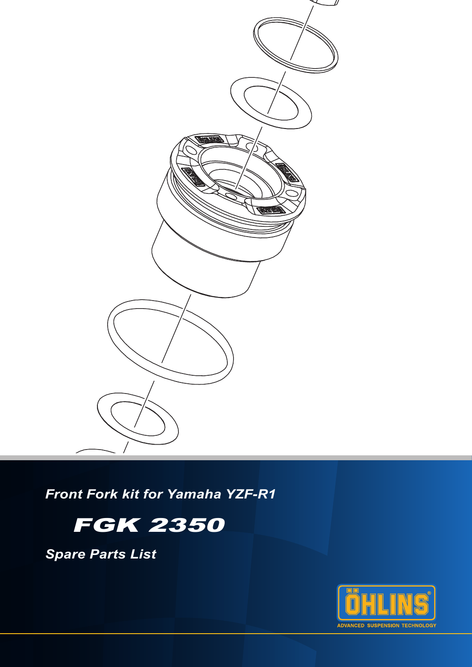

*Front Fork kit for Yamaha YZF-R1*

# FGK 2350

*Spare Parts List*

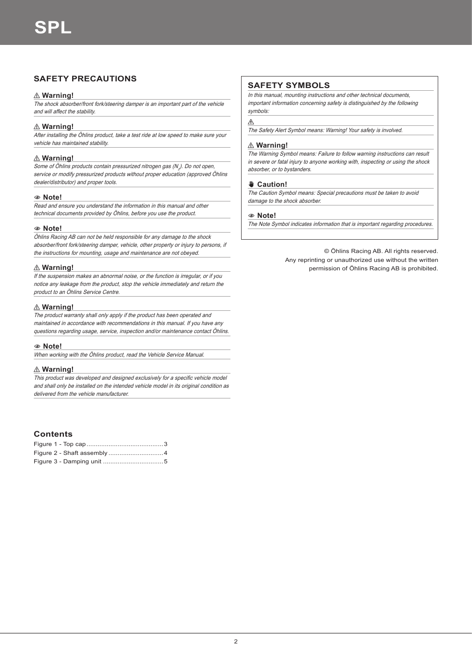# **SAFETY PRECAUTIONS**

# ⚠ **Warning!**

The shock absorber/front fork/steering damper is an important part of the vehicle and will affect the stability.

# ⚠ **Warning!**

After installing the Öhlins product, take a test ride at low speed to make sure your vehicle has maintained stability.

# ⚠ **Warning!**

Some of Öhlins products contain pressurized nitrogen gas (N<sub>2</sub>). Do not open, service or modify pressurized products without proper education (approved Öhlins dealer/distributor) and proper tools.

#### 1**1 Note!**

Read and ensure you understand the information in this manual and other technical documents provided by Öhlins, before you use the product.

## 1**1 Note!**

Öhlins Racing AB can not be held responsible for any damage to the shock absorber/front fork/steering damper, vehicle, other property or injury to persons, if the instructions for mounting, usage and maintenance are not obeyed.

## ⚠ **Warning!**

If the suspension makes an abnormal noise, or the function is irregular, or if you notice any leakage from the product, stop the vehicle immediately and return the product to an Öhlins Service Centre.

## ⚠ **Warning!**

The product warranty shall only apply if the product has been operated and maintained in accordance with recommendations in this manual. If you have any questions regarding usage, service, inspection and/or maintenance contact Öhlins.

#### 1**1 Note!**

When working with the Öhlins product, read the Vehicle Service Manual.

# ⚠ **Warning!**

This product was developed and designed exclusively for a specific vehicle model and shall only be installed on the intended vehicle model in its original condition as delivered from the vehicle manufacturer.

# **Contents**

# **SAFETY SYMBOLS**

In this manual, mounting instructions and other technical documents, important information concerning safety is distinguished by the following symbols:

#### $\wedge$

The Safety Alert Symbol means: Warning! Your safety is involved.

## ⚠ **Warning!**

The Warning Symbol means: Failure to follow warning instructions can result in severe or fatal injury to anyone working with, inspecting or using the shock absorber, or to bystanders.

#### ✋**✋ Caution!**

The Caution Symbol means: Special precautions must be taken to avoid damage to the shock absorber.

#### 1**1 Note!**

The Note Symbol indicates information that is important regarding procedures.

© Öhlins Racing AB. All rights reserved. Any reprinting or unauthorized use without the written permission of Öhlins Racing AB is prohibited.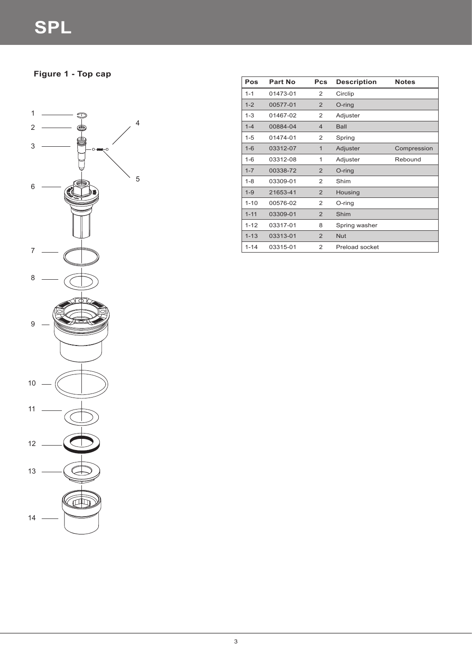**Figure 1 - Top cap**

4

5



| Pos      | Part No  | <b>Pcs</b>     | <b>Description</b> | <b>Notes</b> |
|----------|----------|----------------|--------------------|--------------|
| $1 - 1$  | 01473-01 | 2              | Circlip            |              |
| $1 - 2$  | 00577-01 | 2              | O-ring             |              |
| $1 - 3$  | 01467-02 | 2              | Adjuster           |              |
| $1 - 4$  | 00884-04 | $\overline{4}$ | <b>Ball</b>        |              |
| $1 - 5$  | 01474-01 | 2              | Spring             |              |
| $1 - 6$  | 03312-07 | $\mathbf 1$    | Adjuster           | Compression  |
| $1 - 6$  | 03312-08 | 1              | Adjuster           | Rebound      |
| $1 - 7$  | 00338-72 | $\overline{2}$ | O-ring             |              |
| $1 - 8$  | 03309-01 | 2              | Shim               |              |
| $1 - 9$  | 21653-41 | $\overline{2}$ | Housing            |              |
| $1 - 10$ | 00576-02 | 2              | O-ring             |              |
| $1 - 11$ | 03309-01 | 2              | Shim               |              |
| $1 - 12$ | 03317-01 | 8              | Spring washer      |              |
| $1 - 13$ | 03313-01 | $\overline{2}$ | <b>Nut</b>         |              |
| $1 - 14$ | 03315-01 | 2              | Preload socket     |              |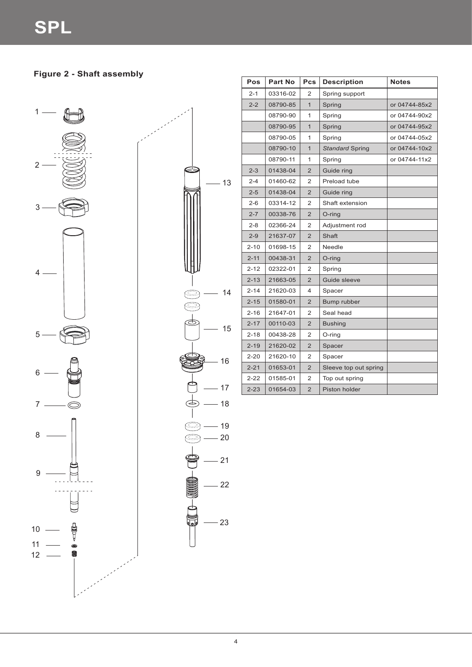# **Figure 2 - Shaft assembly**





| Pos      | <b>Part No</b> | <b>Pcs</b>     | <b>Description</b>     | <b>Notes</b>  |
|----------|----------------|----------------|------------------------|---------------|
| $2 - 1$  | 03316-02       | 2              | Spring support         |               |
| $2 - 2$  | 08790-85       | $\mathbf{1}$   | Spring                 | or 04744-85x2 |
|          | 08790-90       | 1              | Spring                 | or 04744-90x2 |
|          | 08790-95       | $\mathbf{1}$   | Spring                 | or 04744-95x2 |
|          | 08790-05       | 1              | Spring                 | or 04744-05x2 |
|          | 08790-10       | $\mathbf{1}$   | <b>Standard Spring</b> | or 04744-10x2 |
|          | 08790-11       | 1              | Spring                 | or 04744-11x2 |
| $2 - 3$  | 01438-04       | 2              | Guide ring             |               |
| $2 - 4$  | 01460-62       | 2              | Preload tube           |               |
| $2 - 5$  | 01438-04       | $\overline{2}$ | Guide ring             |               |
| $2 - 6$  | 03314-12       | 2              | Shaft extension        |               |
| $2 - 7$  | 00338-76       | 2              | O-ring                 |               |
| $2 - 8$  | 02366-24       | 2              | Adjustment rod         |               |
| $2 - 9$  | 21637-07       | 2              | Shaft                  |               |
| $2 - 10$ | 01698-15       | 2              | Needle                 |               |
| $2 - 11$ | 00438-31       | $\overline{2}$ | O-ring                 |               |
| $2 - 12$ | 02322-01       | 2              | Spring                 |               |
| $2 - 13$ | 21663-05       | $\overline{2}$ | Guide sleeve           |               |
| $2 - 14$ | 21620-03       | 4              | Spacer                 |               |
| $2 - 15$ | 01580-01       | $\overline{2}$ | Bump rubber            |               |
| $2 - 16$ | 21647-01       | 2              | Seal head              |               |
| $2 - 17$ | 00110-03       | $\overline{2}$ | <b>Bushing</b>         |               |
| $2 - 18$ | 00438-28       | 2              | O-ring                 |               |
| $2 - 19$ | 21620-02       | 2              | Spacer                 |               |
| $2 - 20$ | 21620-10       | 2              | Spacer                 |               |
| $2 - 21$ | 01653-01       | $\overline{2}$ | Sleeve top out spring  |               |
| $2 - 22$ | 01585-01       | 2              | Top out spring         |               |
| $2 - 23$ | 01654-03       | $\overline{2}$ | Piston holder          |               |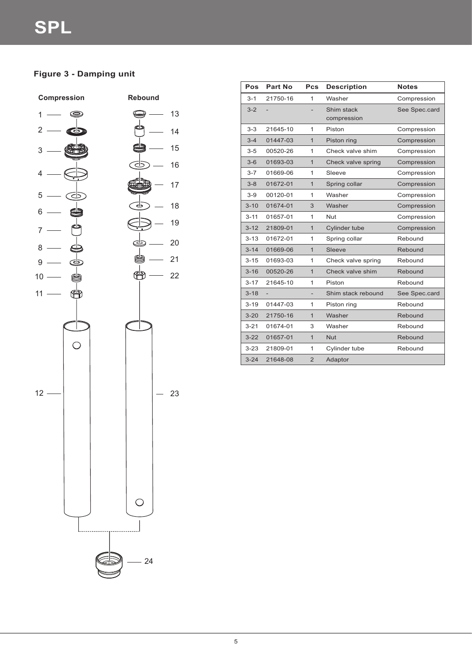# **Figure 3 - Damping unit**



| Pos      | <b>Part No</b> | <b>Pcs</b>     | <b>Description</b>        | <b>Notes</b>  |
|----------|----------------|----------------|---------------------------|---------------|
| $3 - 1$  | 21750-16       | 1              | Washer                    | Compression   |
| $3 - 2$  |                |                | Shim stack<br>compression | See Spec.card |
| $3 - 3$  | 21645-10       | 1              | Piston                    | Compression   |
| $3 - 4$  | 01447-03       | $\mathbf{1}$   | Piston ring               | Compression   |
| $3 - 5$  | 00520-26       | 1              | Check valve shim          | Compression   |
| $3-6$    | 01693-03       | 1              | Check valve spring        | Compression   |
| $3 - 7$  | 01669-06       | 1              | Sleeve                    | Compression   |
| $3 - 8$  | 01672-01       | $\mathbf{1}$   | Spring collar             | Compression   |
| $3-9$    | 00120-01       | 1              | Washer                    | Compression   |
| $3 - 10$ | 01674-01       | 3              | Washer                    | Compression   |
| $3 - 11$ | 01657-01       | 1              | <b>Nut</b>                | Compression   |
| $3 - 12$ | 21809-01       | $\mathbf{1}$   | Cylinder tube             | Compression   |
| $3 - 13$ | 01672-01       | 1              | Spring collar             | Rebound       |
| $3 - 14$ | 01669-06       | 1              | Sleeve                    | Rebound       |
| $3 - 15$ | 01693-03       | 1              | Check valve spring        | Rebound       |
| $3 - 16$ | 00520-26       | $\mathbf{1}$   | Check valve shim          | Rebound       |
| $3 - 17$ | 21645-10       | 1              | Piston                    | Rebound       |
| $3 - 18$ |                |                | Shim stack rebound        | See Spec.card |
| $3 - 19$ | 01447-03       | 1              | Piston ring               | Rebound       |
| $3 - 20$ | 21750-16       | $\mathbf{1}$   | Washer                    | Rebound       |
| $3 - 21$ | 01674-01       | 3              | Washer                    | Rebound       |
| $3 - 22$ | 01657-01       | $\mathbf{1}$   | <b>Nut</b>                | Rebound       |
| $3 - 23$ | 21809-01       | 1              | Cylinder tube             | Rebound       |
| $3 - 24$ | 21648-08       | $\overline{2}$ | Adaptor                   |               |